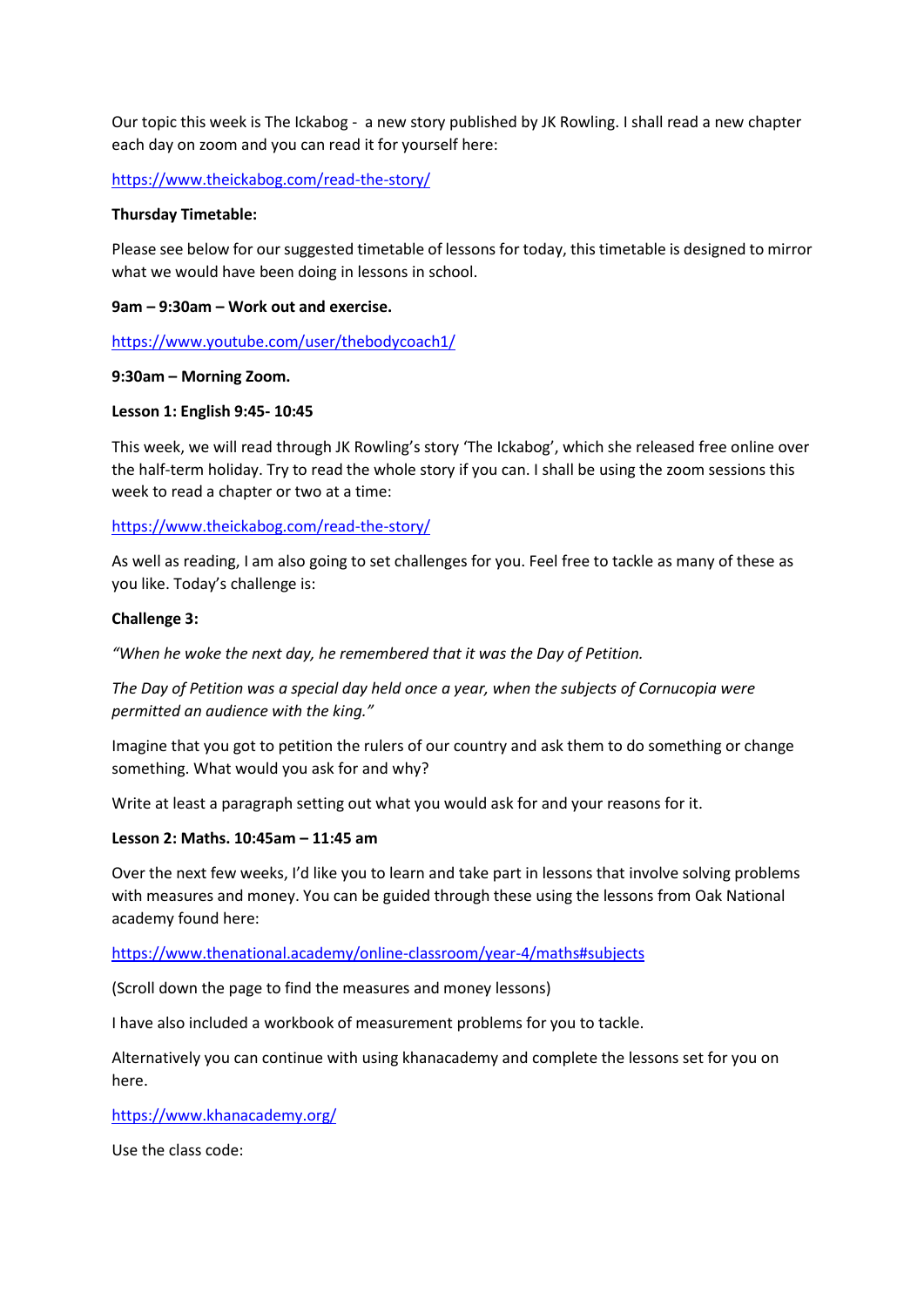Our topic this week is The Ickabog - a new story published by JK Rowling. I shall read a new chapter each day on zoom and you can read it for yourself here:

<https://www.theickabog.com/read-the-story/>

#### **Thursday Timetable:**

Please see below for our suggested timetable of lessons for today, this timetable is designed to mirror what we would have been doing in lessons in school.

#### **9am – 9:30am – Work out and exercise.**

<https://www.youtube.com/user/thebodycoach1/>

## **9:30am – Morning Zoom.**

## **Lesson 1: English 9:45- 10:45**

This week, we will read through JK Rowling's story 'The Ickabog', which she released free online over the half-term holiday. Try to read the whole story if you can. I shall be using the zoom sessions this week to read a chapter or two at a time:

<https://www.theickabog.com/read-the-story/>

As well as reading, I am also going to set challenges for you. Feel free to tackle as many of these as you like. Today's challenge is:

## **Challenge 3:**

*"When he woke the next day, he remembered that it was the Day of Petition.*

*The Day of Petition was a special day held once a year, when the subjects of Cornucopia were permitted an audience with the king."*

Imagine that you got to petition the rulers of our country and ask them to do something or change something. What would you ask for and why?

Write at least a paragraph setting out what you would ask for and your reasons for it.

#### **Lesson 2: Maths. 10:45am – 11:45 am**

Over the next few weeks, I'd like you to learn and take part in lessons that involve solving problems with measures and money. You can be guided through these using the lessons from Oak National academy found here:

#### <https://www.thenational.academy/online-classroom/year-4/maths#subjects>

(Scroll down the page to find the measures and money lessons)

I have also included a workbook of measurement problems for you to tackle.

Alternatively you can continue with using khanacademy and complete the lessons set for you on here.

<https://www.khanacademy.org/>

Use the class code: